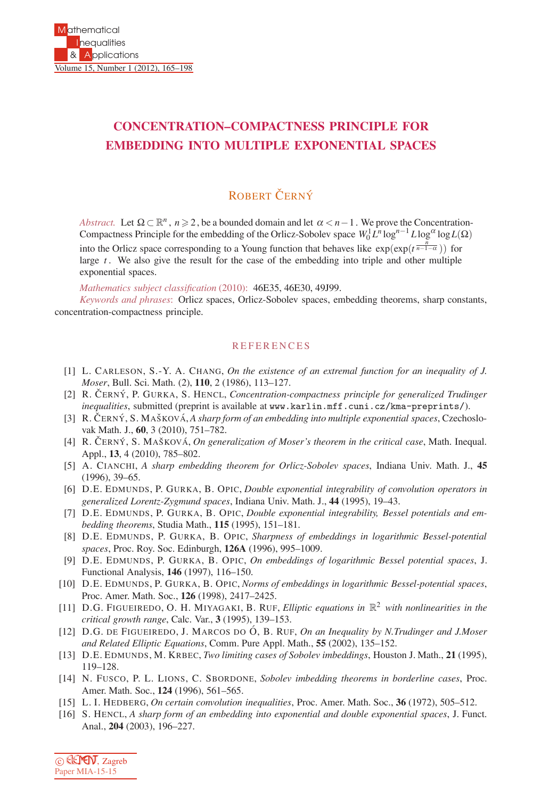## **CONCENTRATION–COMPACTNESS PRINCIPLE FOR EMBEDDING INTO MULTIPLE EXPONENTIAL SPACES**

## ROBERT ČERNÝ

*Abstract.* Let  $\Omega \subset \mathbb{R}^n$ ,  $n \ge 2$ , be a bounded domain and let  $\alpha < n-1$ . We prove the Concentration-Compactness Principle for the embedding of the Orlicz-Sobolev space  $W_0^1 L^n \log^{n-1} L \log^\alpha \log L(\Omega)$ 

into the Orlicz space corresponding to a Young function that behaves like  $\exp(\exp(t^{\frac{n}{n-1-\alpha}}))$  for large *t* . We also give the result for the case of the embedding into triple and other multiple exponential spaces.

*Mathematics subject classification* (2010): 46E35, 46E30, 49J99.

*Keywords and phrases*: Orlicz spaces, Orlicz-Sobolev spaces, embedding theorems, sharp constants, concentration-compactness principle.

## **REFERENCES**

- [1] L. CARLESON, S.-Y. A. CHANG, *On the existence of an extremal function for an inequality of J. Moser*, Bull. Sci. Math. (2), **110**, 2 (1986), 113–127.
- [2] R. Cˇ ERNY´ , P. GURKA, S. HENCL, *Concentration-compactness principle for generalized Trudinger inequalities*, submitted (preprint is available at www.karlin.mff.cuni.cz/kma-preprints/).
- [3] R. ČERNÝ, S. MAŠKOVÁ, *A sharp form of an embedding into multiple exponential spaces*, Czechoslovak Math. J., **60**, 3 (2010), 751–782.
- [4] R. ČERNÝ, S. MAŠKOVÁ, *On generalization of Moser's theorem in the critical case*, Math. Inequal. Appl., **13**, 4 (2010), 785–802.
- [5] A. CIANCHI, *A sharp embedding theorem for Orlicz-Sobolev spaces*, Indiana Univ. Math. J., **45** (1996), 39–65.
- [6] D.E. EDMUNDS, P. GURKA, B. OPIC, *Double exponential integrability of convolution operators in generalized Lorentz-Zygmund spaces*, Indiana Univ. Math. J., **44** (1995), 19–43.
- [7] D.E. EDMUNDS, P. GURKA, B. OPIC, *Double exponential integrability, Bessel potentials and embedding theorems*, Studia Math., **115** (1995), 151–181.
- [8] D.E. EDMUNDS, P. GURKA, B. OPIC, *Sharpness of embeddings in logarithmic Bessel-potential spaces*, Proc. Roy. Soc. Edinburgh, **126A** (1996), 995–1009.
- [9] D.E. EDMUNDS, P. GURKA, B. OPIC, *On embeddings of logarithmic Bessel potential spaces*, J. Functional Analysis, **146** (1997), 116–150.
- [10] D.E. EDMUNDS, P. GURKA, B. OPIC, *Norms of embeddings in logarithmic Bessel-potential spaces*, Proc. Amer. Math. Soc., **126** (1998), 2417–2425.
- [11] D.G. FIGUEIREDO, O. H. MIYAGAKI, B. RUF, *Elliptic equations in* R<sup>2</sup> *with nonlinearities in the critical growth range*, Calc. Var., **3** (1995), 139–153.
- [12] D.G. DE FIGUEIREDO, J. MARCOS DO Ó, B. RUF, *On an Inequality by N.Trudinger and J.Moser and Related Elliptic Equations*, Comm. Pure Appl. Math., **55** (2002), 135–152.
- [13] D.E. EDMUNDS, M. KRBEC, *Two limiting cases of Sobolev imbeddings*, Houston J. Math., **21** (1995), 119–128.
- [14] N. FUSCO, P. L. LIONS, C. SBORDONE, *Sobolev imbedding theorems in borderline cases*, Proc. Amer. Math. Soc., **124** (1996), 561–565.
- [15] L. I. HEDBERG, *On certain convolution inequalities*, Proc. Amer. Math. Soc., **36** (1972), 505–512.
- [16] S. HENCL, *A sharp form of an embedding into exponential and double exponential spaces*, J. Funct. Anal., **204** (2003), 196–227.